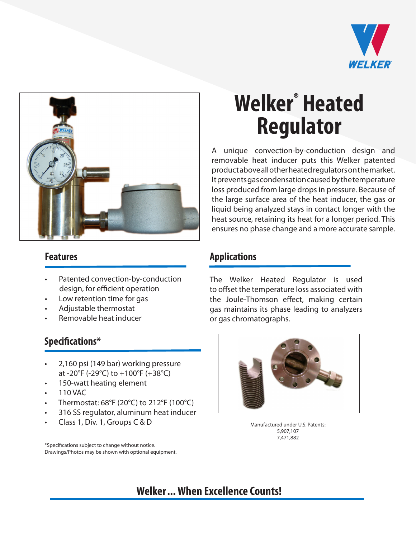



- Patented convection-by-conduction design, for efficient operation
- Low retention time for gas
- Adjustable thermostat
- Removable heat inducer

#### **Specifications\***

- 2,160 psi (149 bar) working pressure at -20°F (-29°C) to +100°F (+38°C)
- 150-watt heating element
- 110 VAC
- Thermostat: 68°F (20°C) to 212°F (100°C)
- 316 SS regulator, aluminum heat inducer
- Class 1, Div. 1, Groups C & D

\*Specifications subject to change without notice. Drawings/Photos may be shown with optional equipment.

# **Welker® Heated Regulator**

A unique convection-by-conduction design and removable heat inducer puts this Welker patented product above all other heated regulators on the market. It prevents gas condensation caused by the temperature loss produced from large drops in pressure. Because of the large surface area of the heat inducer, the gas or liquid being analyzed stays in contact longer with the heat source, retaining its heat for a longer period. This ensures no phase change and a more accurate sample.

#### **Features Applications**

The Welker Heated Regulator is used to offset the temperature loss associated with the Joule-Thomson effect, making certain gas maintains its phase leading to analyzers or gas chromatographs.



Manufactured under U.S. Patents: 5,907,107 7,471,882

### **Welker... When Excellence Counts!**